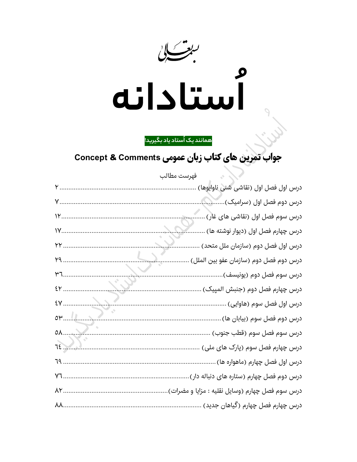

همانند یک اُستاد یاد بگیرید!

جواب تمرین های کتاب زبان عمومی Concept & Comments

| فهرست مطالب     |                                                  |
|-----------------|--------------------------------------------------|
|                 | درس اول فصل اول (نقاشی شنی ناوایوها)             |
|                 | درس دوم فصل اول (سرامیک)                         |
| $V$             | درس سوم فصل اول (نقاشی های غار)                  |
| $V$             | درس چهارم فصل اول (دیوار نوشته ها)               |
| YY.             | درس اول فصل دوم (سازمان ملل متحد)                |
| $Y9$            | درس دوم فصل دوم (سازمان عفو بين الملل)           |
| $M$ ,           | درس سوم فصل دوم (يونيسف)                         |
| EY              | درس چهارم فصل دوم (جنبش المپیک)                  |
| $\mathcal{E}$   | درس اول فصل سوم (هاوایی)                         |
| or 11.27.2      | درس دوم فصل سوم (بیابان ها)                      |
|                 | درس سوم فصل سوم (قطب جنوب)                       |
| $\overline{12}$ | درس چهارم فصل سوم (پارک های ملی)                 |
| 79              | درس اول فصل چهارم (ماهواره ها)                   |
| <b>Y7</b>       | درس دوم فصل چهارم (ستاره های دنباله دار)         |
| AY              | درس سوم فصل چهارم (وسایل نقلیه : مزایا و مضرات). |
|                 | درس چهارم فصل چهارم (گیاهان جدید)                |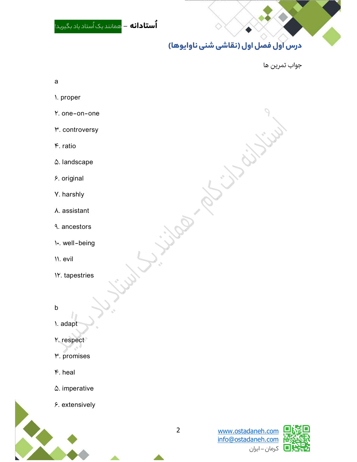و مانند يک اُستاد ياد بگير*ي*د! **```** ستاد ياد بگير*ي*د!  $\diamondsuit$ 

## **درس اول فصل اول (نقاشی شنی ناوایوها)**<br>جواب تمرین ها

 $\ddot{\mathbf{y}}$ 

## a

- 1. proper
- Y. one-on-one
- **M.** controversy
- $\mathfrak{e}$ . ratio
- $\Delta$ . landscape
- 6. original
- 7. harshly
- 8. assistant
- 9. ancestors
- 10. well-being
- 11. evil
- 12. tapestries

 $\mathsf{b}$ 

1. adapt

- Y. respect
- 3. promises
- $\mathfrak{e}$ . heal
- $\Delta$ . imperative
- 6. extensively



Job .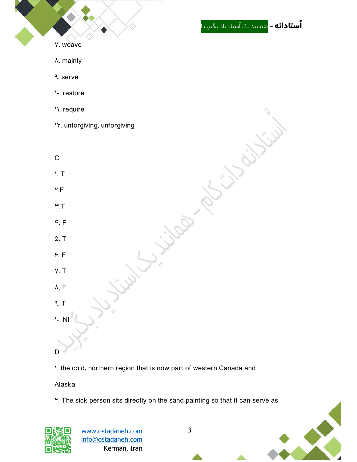

1. the cold, northern region that is now part of western Canada and

Alaska

2. The sick person sits directly on the sand painting so that it can serve as



www.ostadaneh.com 3 info@ostadaneh.com Kerman, Iran